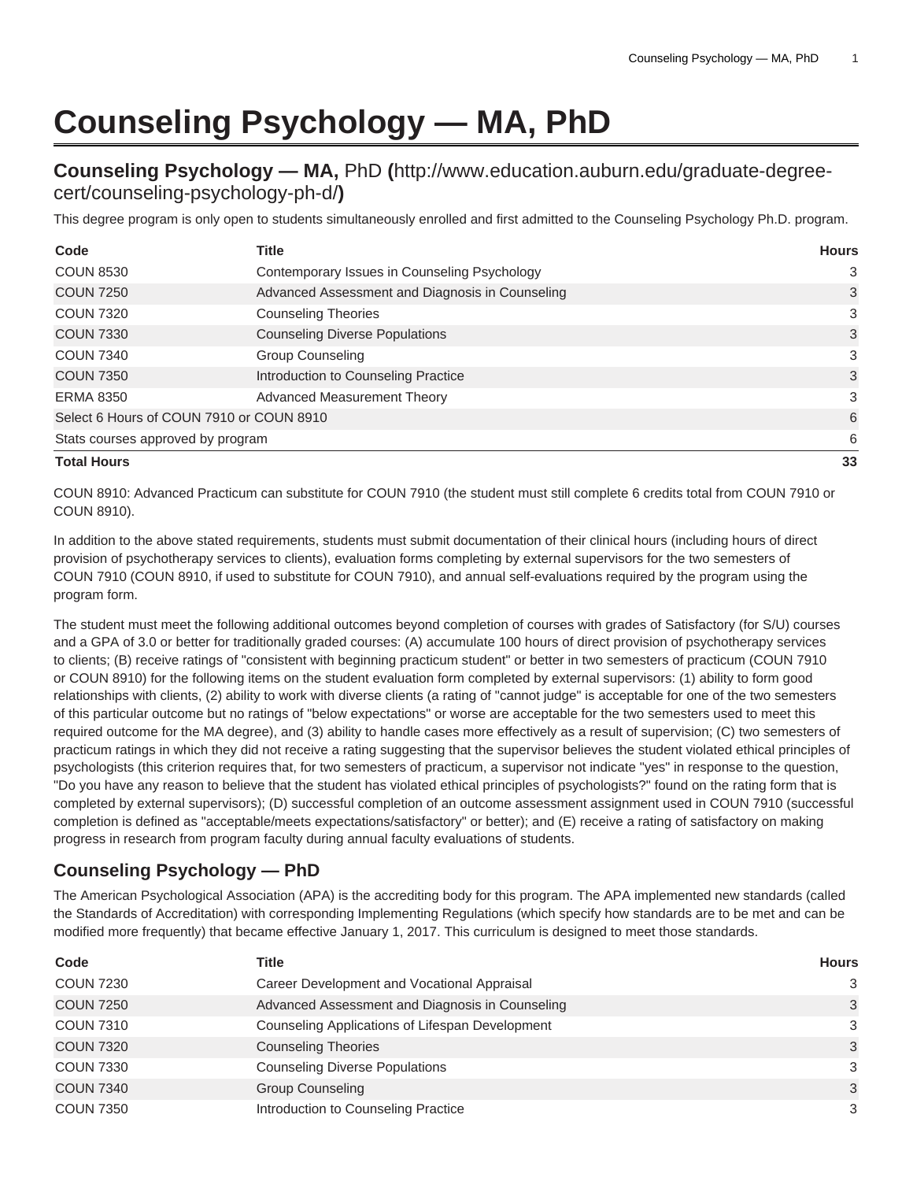## **Counseling Psychology — MA, PhD**

## **Counseling Psychology — MA,** [PhD](http://www.education.auburn.edu/graduate-degree-cert/counseling-psychology-ph-d/) **(**[http://www.education.auburn.edu/graduate-degree](http://www.education.auburn.edu/graduate-degree-cert/counseling-psychology-ph-d/)[cert/counseling-psychology-ph-d/](http://www.education.auburn.edu/graduate-degree-cert/counseling-psychology-ph-d/)**)**

This degree program is only open to students simultaneously enrolled and first admitted to the Counseling Psychology Ph.D. program.

| Code                                     | <b>Title</b>                                    | <b>Hours</b> |
|------------------------------------------|-------------------------------------------------|--------------|
| <b>COUN 8530</b>                         | Contemporary Issues in Counseling Psychology    | 3            |
| <b>COUN 7250</b>                         | Advanced Assessment and Diagnosis in Counseling | 3            |
| <b>COUN 7320</b>                         | <b>Counseling Theories</b>                      | 3            |
| <b>COUN 7330</b>                         | <b>Counseling Diverse Populations</b>           | 3            |
| <b>COUN 7340</b>                         | <b>Group Counseling</b>                         | 3            |
| <b>COUN 7350</b>                         | Introduction to Counseling Practice             | 3            |
| <b>ERMA 8350</b>                         | Advanced Measurement Theory                     | 3            |
| Select 6 Hours of COUN 7910 or COUN 8910 | 6                                               |              |
| Stats courses approved by program        |                                                 | 6            |
| <b>Total Hours</b>                       | 33                                              |              |

COUN 8910: Advanced Practicum can substitute for COUN 7910 (the student must still complete 6 credits total from COUN 7910 or COUN 8910).

In addition to the above stated requirements, students must submit documentation of their clinical hours (including hours of direct provision of psychotherapy services to clients), evaluation forms completing by external supervisors for the two semesters of COUN 7910 (COUN 8910, if used to substitute for COUN 7910), and annual self-evaluations required by the program using the program form.

The student must meet the following additional outcomes beyond completion of courses with grades of Satisfactory (for S/U) courses and a GPA of 3.0 or better for traditionally graded courses: (A) accumulate 100 hours of direct provision of psychotherapy services to clients; (B) receive ratings of "consistent with beginning practicum student" or better in two semesters of practicum (COUN 7910 or COUN 8910) for the following items on the student evaluation form completed by external supervisors: (1) ability to form good relationships with clients, (2) ability to work with diverse clients (a rating of "cannot judge" is acceptable for one of the two semesters of this particular outcome but no ratings of "below expectations" or worse are acceptable for the two semesters used to meet this required outcome for the MA degree), and (3) ability to handle cases more effectively as a result of supervision; (C) two semesters of practicum ratings in which they did not receive a rating suggesting that the supervisor believes the student violated ethical principles of psychologists (this criterion requires that, for two semesters of practicum, a supervisor not indicate "yes" in response to the question, "Do you have any reason to believe that the student has violated ethical principles of psychologists?" found on the rating form that is completed by external supervisors); (D) successful completion of an outcome assessment assignment used in COUN 7910 (successful completion is defined as "acceptable/meets expectations/satisfactory" or better); and (E) receive a rating of satisfactory on making progress in research from program faculty during annual faculty evaluations of students.

## **Counseling Psychology — PhD**

The American Psychological Association (APA) is the accrediting body for this program. The APA implemented new standards (called the Standards of Accreditation) with corresponding Implementing Regulations (which specify how standards are to be met and can be modified more frequently) that became effective January 1, 2017. This curriculum is designed to meet those standards.

| Code             | Title                                           | <b>Hours</b> |
|------------------|-------------------------------------------------|--------------|
| <b>COUN 7230</b> | Career Development and Vocational Appraisal     | 3            |
| <b>COUN 7250</b> | Advanced Assessment and Diagnosis in Counseling | 3            |
| <b>COUN 7310</b> | Counseling Applications of Lifespan Development | 3            |
| <b>COUN 7320</b> | <b>Counseling Theories</b>                      | 3            |
| <b>COUN 7330</b> | <b>Counseling Diverse Populations</b>           | 3            |
| <b>COUN 7340</b> | <b>Group Counseling</b>                         | 3            |
| <b>COUN 7350</b> | Introduction to Counseling Practice             | 3            |